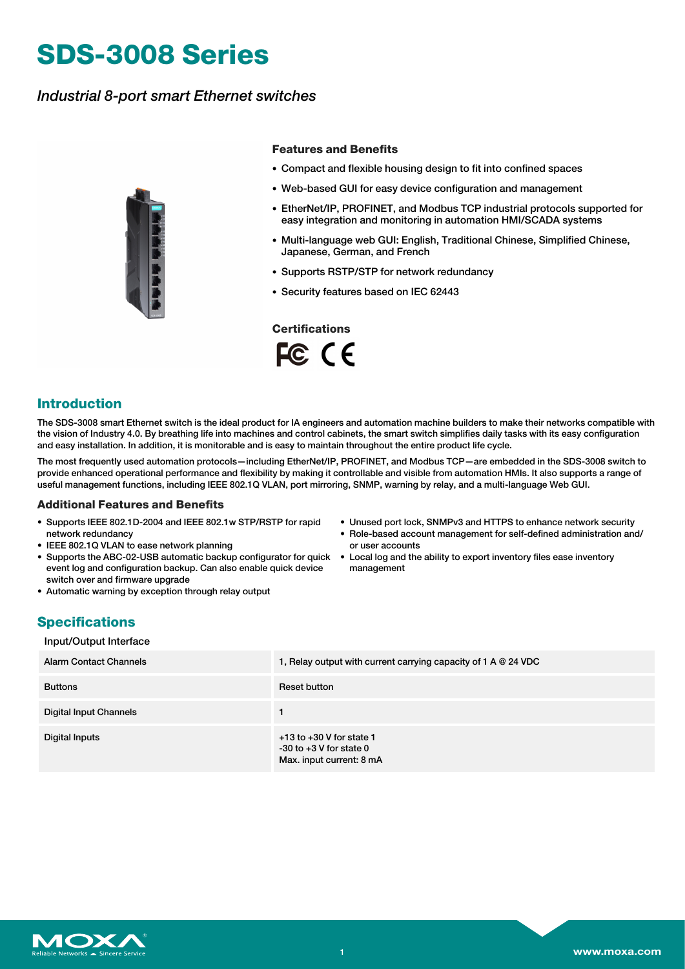# **SDS-3008 Series**

## *Industrial 8-port smart Ethernet switches*



#### **Features and Benefits**

- Compact and flexible housing design to fit into confined spaces
- Web-based GUI for easy device configuration and management
- EtherNet/IP, PROFINET, and Modbus TCP industrial protocols supported for easy integration and monitoring in automation HMI/SCADA systems
- Multi-language web GUI: English, Traditional Chinese, Simplified Chinese, Japanese, German, and French
- Supports RSTP/STP for network redundancy
- Security features based on IEC 62443

**Certifications**

FC CE

## **Introduction**

The SDS-3008 smart Ethernet switch is the ideal product for IA engineers and automation machine builders to make their networks compatible with the vision of Industry 4.0. By breathing life into machines and control cabinets, the smart switch simplifies daily tasks with its easy configuration and easy installation. In addition, it is monitorable and is easy to maintain throughout the entire product life cycle.

The most frequently used automation protocols—including EtherNet/IP, PROFINET, and Modbus TCP—are embedded in the SDS-3008 switch to provide enhanced operational performance and flexibility by making it controllable and visible from automation HMIs. It also supports a range of useful management functions, including IEEE 802.1Q VLAN, port mirroring, SNMP, warning by relay, and a multi-language Web GUI.

#### **Additional Features and Benefits**

- Supports IEEE 802.1D-2004 and IEEE 802.1w STP/RSTP for rapid network redundancy
- IEEE 802.1Q VLAN to ease network planning
- Supports the ABC-02-USB automatic backup configurator for quick Local log and the ability to export inventory files ease inventory event log and configuration backup. Can also enable quick device switch over and firmware upgrade
- Automatic warning by exception through relay output
- Unused port lock, SNMPv3 and HTTPS to enhance network security
- Role-based account management for self-defined administration and/ or user accounts
- management

## **Specifications**

#### Input/Output Interface

| Alarm Contact Channels        | 1, Relay output with current carrying capacity of 1 A $@$ 24 VDC                        |
|-------------------------------|-----------------------------------------------------------------------------------------|
| <b>Buttons</b>                | Reset button                                                                            |
| <b>Digital Input Channels</b> |                                                                                         |
| Digital Inputs                | $+13$ to $+30$ V for state 1<br>$-30$ to $+3$ V for state 0<br>Max. input current: 8 mA |

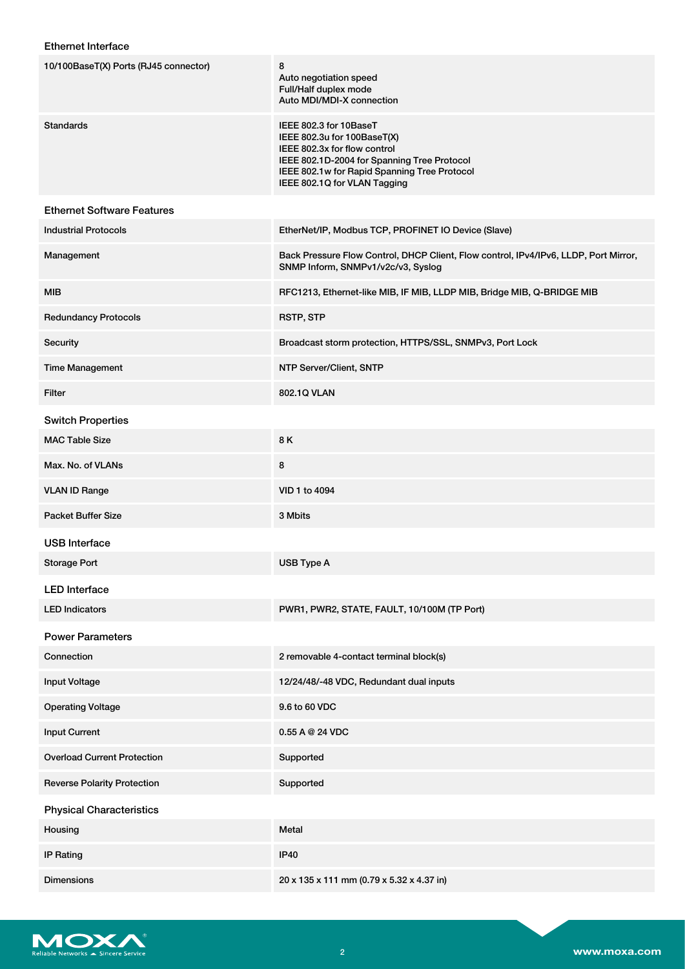## Ethernet Interface

| 10/100BaseT(X) Ports (RJ45 connector) | 8<br>Auto negotiation speed<br>Full/Half duplex mode<br>Auto MDI/MDI-X connection                                                                                                                                    |
|---------------------------------------|----------------------------------------------------------------------------------------------------------------------------------------------------------------------------------------------------------------------|
| <b>Standards</b>                      | IEEE 802.3 for 10BaseT<br>IEEE 802.3u for 100BaseT(X)<br>IEEE 802.3x for flow control<br>IEEE 802.1D-2004 for Spanning Tree Protocol<br>IEEE 802.1w for Rapid Spanning Tree Protocol<br>IEEE 802.1Q for VLAN Tagging |
| <b>Ethernet Software Features</b>     |                                                                                                                                                                                                                      |
| <b>Industrial Protocols</b>           | EtherNet/IP, Modbus TCP, PROFINET IO Device (Slave)                                                                                                                                                                  |
| Management                            | Back Pressure Flow Control, DHCP Client, Flow control, IPv4/IPv6, LLDP, Port Mirror,<br>SNMP Inform, SNMPv1/v2c/v3, Syslog                                                                                           |
| <b>MIB</b>                            | RFC1213, Ethernet-like MIB, IF MIB, LLDP MIB, Bridge MIB, Q-BRIDGE MIB                                                                                                                                               |
| <b>Redundancy Protocols</b>           | <b>RSTP, STP</b>                                                                                                                                                                                                     |
| Security                              | Broadcast storm protection, HTTPS/SSL, SNMPv3, Port Lock                                                                                                                                                             |
| <b>Time Management</b>                | NTP Server/Client, SNTP                                                                                                                                                                                              |
| Filter                                | 802.1Q VLAN                                                                                                                                                                                                          |
| <b>Switch Properties</b>              |                                                                                                                                                                                                                      |
| <b>MAC Table Size</b>                 | 8K                                                                                                                                                                                                                   |
| Max. No. of VLANs                     | 8                                                                                                                                                                                                                    |
| <b>VLAN ID Range</b>                  | VID 1 to 4094                                                                                                                                                                                                        |
| <b>Packet Buffer Size</b>             | 3 Mbits                                                                                                                                                                                                              |
| <b>USB</b> Interface                  |                                                                                                                                                                                                                      |
| <b>Storage Port</b>                   | USB Type A                                                                                                                                                                                                           |
| <b>LED</b> Interface                  |                                                                                                                                                                                                                      |
| <b>LED Indicators</b>                 | PWR1, PWR2, STATE, FAULT, 10/100M (TP Port)                                                                                                                                                                          |
| <b>Power Parameters</b>               |                                                                                                                                                                                                                      |
| Connection                            | 2 removable 4-contact terminal block(s)                                                                                                                                                                              |
| <b>Input Voltage</b>                  | 12/24/48/-48 VDC, Redundant dual inputs                                                                                                                                                                              |
| <b>Operating Voltage</b>              | 9.6 to 60 VDC                                                                                                                                                                                                        |
| <b>Input Current</b>                  | 0.55A@24VDC                                                                                                                                                                                                          |
| <b>Overload Current Protection</b>    | Supported                                                                                                                                                                                                            |
| <b>Reverse Polarity Protection</b>    | Supported                                                                                                                                                                                                            |
| <b>Physical Characteristics</b>       |                                                                                                                                                                                                                      |
| Housing                               | Metal                                                                                                                                                                                                                |
| <b>IP Rating</b>                      | <b>IP40</b>                                                                                                                                                                                                          |
| <b>Dimensions</b>                     | 20 x 135 x 111 mm (0.79 x 5.32 x 4.37 in)                                                                                                                                                                            |

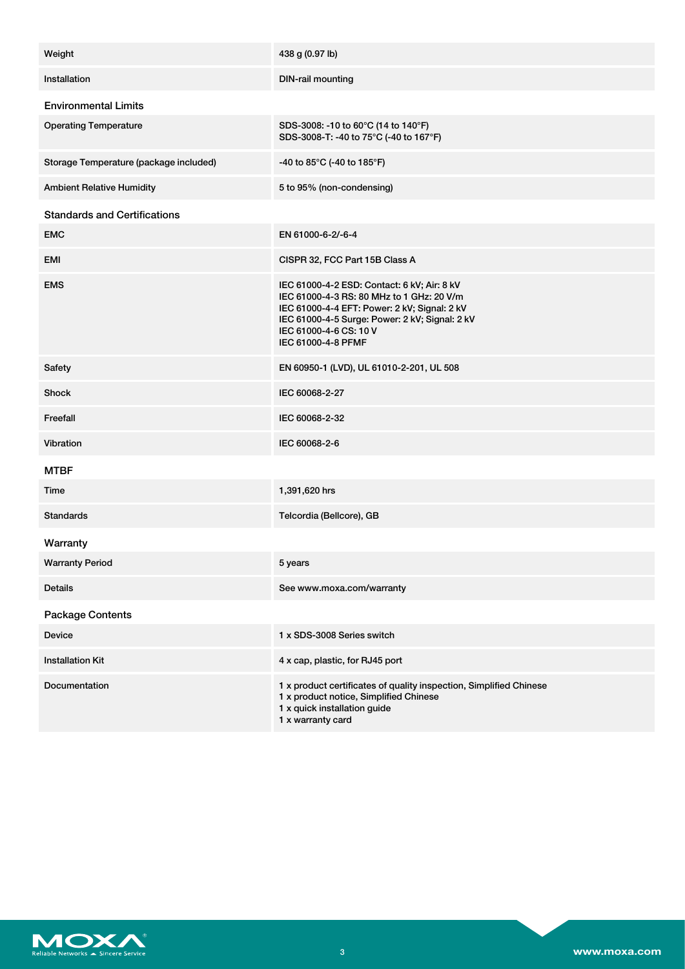| Weight                                 | 438 g (0.97 lb)                                                                                                                                                                                                                            |
|----------------------------------------|--------------------------------------------------------------------------------------------------------------------------------------------------------------------------------------------------------------------------------------------|
| Installation                           | <b>DIN-rail mounting</b>                                                                                                                                                                                                                   |
| <b>Environmental Limits</b>            |                                                                                                                                                                                                                                            |
| <b>Operating Temperature</b>           | SDS-3008: -10 to 60°C (14 to 140°F)<br>SDS-3008-T: -40 to 75°C (-40 to 167°F)                                                                                                                                                              |
| Storage Temperature (package included) | -40 to 85°C (-40 to 185°F)                                                                                                                                                                                                                 |
| <b>Ambient Relative Humidity</b>       | 5 to 95% (non-condensing)                                                                                                                                                                                                                  |
| <b>Standards and Certifications</b>    |                                                                                                                                                                                                                                            |
| <b>EMC</b>                             | EN 61000-6-2/-6-4                                                                                                                                                                                                                          |
| EMI                                    | CISPR 32, FCC Part 15B Class A                                                                                                                                                                                                             |
| <b>EMS</b>                             | IEC 61000-4-2 ESD: Contact: 6 kV; Air: 8 kV<br>IEC 61000-4-3 RS: 80 MHz to 1 GHz: 20 V/m<br>IEC 61000-4-4 EFT: Power: 2 kV; Signal: 2 kV<br>IEC 61000-4-5 Surge: Power: 2 kV; Signal: 2 kV<br>IEC 61000-4-6 CS: 10 V<br>IEC 61000-4-8 PFMF |
| Safety                                 | EN 60950-1 (LVD), UL 61010-2-201, UL 508                                                                                                                                                                                                   |
| Shock                                  | IEC 60068-2-27                                                                                                                                                                                                                             |
| Freefall                               | IEC 60068-2-32                                                                                                                                                                                                                             |
| Vibration                              | IEC 60068-2-6                                                                                                                                                                                                                              |
| <b>MTBF</b>                            |                                                                                                                                                                                                                                            |
| Time                                   | 1,391,620 hrs                                                                                                                                                                                                                              |
| <b>Standards</b>                       | Telcordia (Bellcore), GB                                                                                                                                                                                                                   |
| Warranty                               |                                                                                                                                                                                                                                            |
| <b>Warranty Period</b>                 | 5 years                                                                                                                                                                                                                                    |
| <b>Details</b>                         | See www.moxa.com/warranty                                                                                                                                                                                                                  |
| <b>Package Contents</b>                |                                                                                                                                                                                                                                            |
| Device                                 | 1 x SDS-3008 Series switch                                                                                                                                                                                                                 |
| <b>Installation Kit</b>                | 4 x cap, plastic, for RJ45 port                                                                                                                                                                                                            |
| Documentation                          | 1 x product certificates of quality inspection, Simplified Chinese<br>1 x product notice, Simplified Chinese<br>1 x quick installation guide<br>1 x warranty card                                                                          |